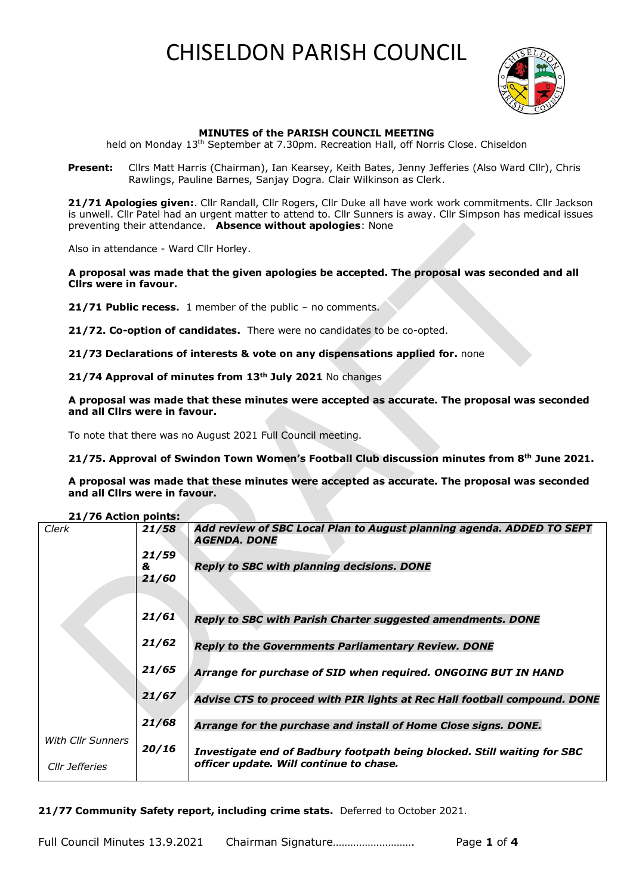

### **MINUTES of the PARISH COUNCIL MEETING**

held on Monday 13<sup>th</sup> September at 7.30pm. Recreation Hall, off Norris Close. Chiseldon

Present: Cllrs Matt Harris (Chairman), Ian Kearsey, Keith Bates, Jenny Jefferies (Also Ward Cllr), Chris Rawlings, Pauline Barnes, Sanjay Dogra. Clair Wilkinson as Clerk.

 **21/71 Apologies given:**. Cllr Randall, Cllr Rogers, Cllr Duke all have work work commitments. Cllr Jackson is unwell. Cllr Patel had an urgent matter to attend to. Cllr Sunners is away. Cllr Simpson has medical issues preventing their attendance. **Absence without apologies**: None

Also in attendance - Ward Cllr Horley.

**A proposal was made that the given apologies be accepted. The proposal was seconded and all Cllrs were in favour.**

**21/71 Public recess.** 1 member of the public – no comments.

**21/72. Co-option of candidates.** There were no candidates to be co-opted.

**21/73 Declarations of interests & vote on any dispensations applied for.** none

**21/74 Approval of minutes from 13th July 2021** No changes

**A proposal was made that these minutes were accepted as accurate. The proposal was seconded and all Cllrs were in favour.**

To note that there was no August 2021 Full Council meeting.

**21/75. Approval of Swindon Town Women's Football Club discussion minutes from 8th June 2021.**

**A proposal was made that these minutes were accepted as accurate. The proposal was seconded and all Cllrs were in favour.**

#### **21/76 Action points:**

| Clerk                    | 21/58 | Add review of SBC Local Plan to August planning agenda. ADDED TO SEPT<br>AGENDA. DONE |
|--------------------------|-------|---------------------------------------------------------------------------------------|
|                          | 21/59 |                                                                                       |
|                          | &     | <b>Reply to SBC with planning decisions. DONE</b>                                     |
|                          | 21/60 |                                                                                       |
|                          | 21/61 |                                                                                       |
|                          |       | Reply to SBC with Parish Charter suggested amendments. DONE                           |
|                          | 21/62 |                                                                                       |
|                          |       | <b>Reply to the Governments Parliamentary Review. DONE</b>                            |
|                          | 21/65 | Arrange for purchase of SID when required. ONGOING BUT IN HAND                        |
|                          |       |                                                                                       |
|                          | 21/67 | Advise CTS to proceed with PIR lights at Rec Hall football compound. DONE             |
|                          |       |                                                                                       |
|                          | 21/68 |                                                                                       |
|                          |       | Arrange for the purchase and install of Home Close signs. DONE.                       |
| <b>With Cllr Sunners</b> | 20/16 |                                                                                       |
|                          |       | Investigate end of Badbury footpath being blocked. Still waiting for SBC              |
| Cllr Jefferies           |       | officer update. Will continue to chase.                                               |
|                          |       |                                                                                       |

**21/77 Community Safety report, including crime stats.** Deferred to October 2021.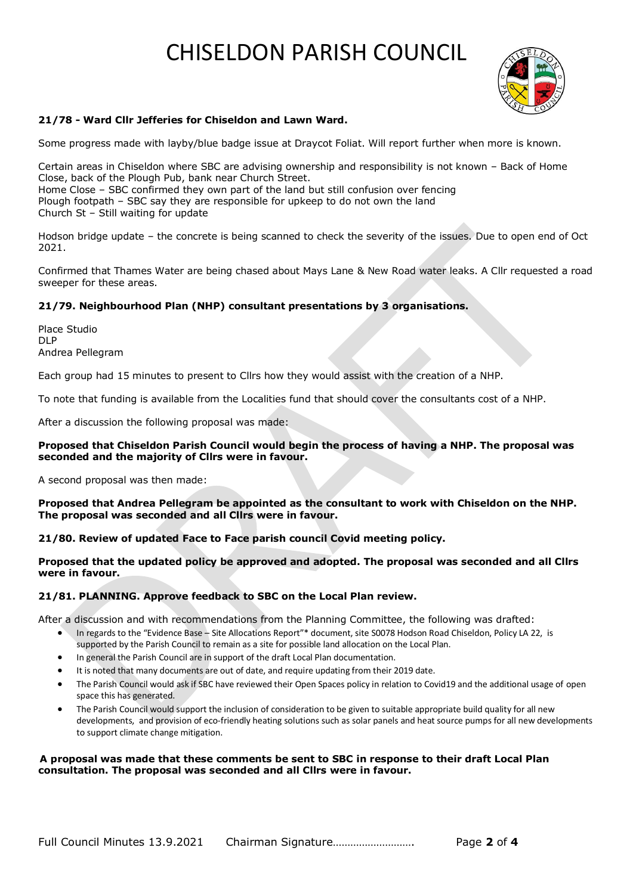

## **21/78 - Ward Cllr Jefferies for Chiseldon and Lawn Ward.**

Some progress made with layby/blue badge issue at Draycot Foliat. Will report further when more is known.

Certain areas in Chiseldon where SBC are advising ownership and responsibility is not known – Back of Home Close, back of the Plough Pub, bank near Church Street. Home Close – SBC confirmed they own part of the land but still confusion over fencing Plough footpath – SBC say they are responsible for upkeep to do not own the land Church St – Still waiting for update

Hodson bridge update – the concrete is being scanned to check the severity of the issues. Due to open end of Oct 2021.

Confirmed that Thames Water are being chased about Mays Lane & New Road water leaks. A Cllr requested a road sweeper for these areas.

#### **21/79. Neighbourhood Plan (NHP) consultant presentations by 3 organisations.**

Place Studio DLP Andrea Pellegram

Each group had 15 minutes to present to Cllrs how they would assist with the creation of a NHP.

To note that funding is available from the Localities fund that should cover the consultants cost of a NHP.

After a discussion the following proposal was made:

#### **Proposed that Chiseldon Parish Council would begin the process of having a NHP. The proposal was seconded and the majority of Cllrs were in favour.**

A second proposal was then made:

**Proposed that Andrea Pellegram be appointed as the consultant to work with Chiseldon on the NHP. The proposal was seconded and all Cllrs were in favour.**

**21/80. Review of updated Face to Face parish council Covid meeting policy.**

**Proposed that the updated policy be approved and adopted. The proposal was seconded and all Cllrs were in favour.**

#### **21/81. PLANNING. Approve feedback to SBC on the Local Plan review.**

After a discussion and with recommendations from the Planning Committee, the following was drafted:

- In regards to the "Evidence Base Site Allocations Report"\* document, site S0078 Hodson Road Chiseldon, Policy LA 22, is supported by the Parish Council to remain as a site for possible land allocation on the Local Plan.
- In general the Parish Council are in support of the draft Local Plan documentation.
- It is noted that many documents are out of date, and require updating from their 2019 date.
- The Parish Council would ask if SBC have reviewed their Open Spaces policy in relation to Covid19 and the additional usage of open space this has generated.
- The Parish Council would support the inclusion of consideration to be given to suitable appropriate build quality for all new developments, and provision of eco-friendly heating solutions such as solar panels and heat source pumps for all new developments to support climate change mitigation.

#### **A proposal was made that these comments be sent to SBC in response to their draft Local Plan consultation. The proposal was seconded and all Cllrs were in favour.**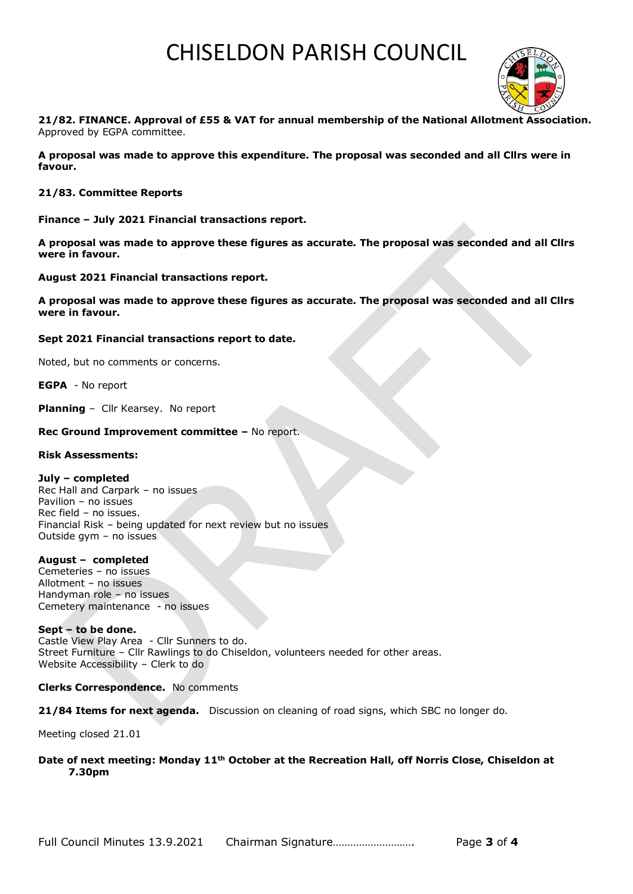

**21/82. FINANCE. Approval of £55 & VAT for annual membership of the National Allotment Association.**  Approved by EGPA committee.

**A proposal was made to approve this expenditure. The proposal was seconded and all Cllrs were in favour.** 

#### **21/83. Committee Reports**

**Finance – July 2021 Financial transactions report.**

**A proposal was made to approve these figures as accurate. The proposal was seconded and all Cllrs were in favour.** 

**August 2021 Financial transactions report.** 

**A proposal was made to approve these figures as accurate. The proposal was seconded and all Cllrs were in favour.** 

#### **Sept 2021 Financial transactions report to date.**

Noted, but no comments or concerns.

**EGPA** - No report

**Planning** – Cllr Kearsey. No report

#### **Rec Ground Improvement committee –** No report.

#### **Risk Assessments:**

#### **July – completed**

Rec Hall and Carpark – no issues Pavilion – no issues Rec field – no issues. Financial Risk – being updated for next review but no issues Outside gym – no issues

#### **August – completed**

Cemeteries – no issues Allotment – no issues Handyman role – no issues Cemetery maintenance - no issues

#### **Sept – to be done.** Castle View Play Area - Cllr Sunners to do. Street Furniture – Cllr Rawlings to do Chiseldon, volunteers needed for other areas. Website Accessibility – Clerk to do

#### **Clerks Correspondence.** No comments

**21/84 Items for next agenda.** Discussion on cleaning of road signs, which SBC no longer do.

Meeting closed 21.01

## **Date of next meeting: Monday 11th October at the Recreation Hall, off Norris Close, Chiseldon at 7.30pm**